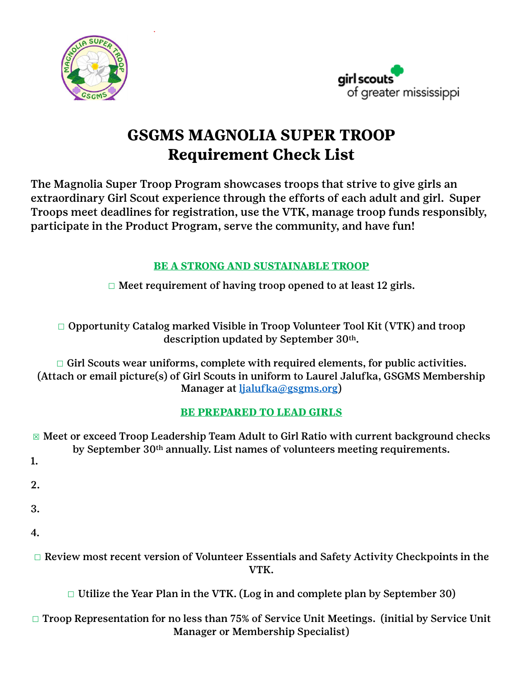



# **GSGMS MAGNOLIA SUPER TROOP Requirement Check List**

The Magnolia Super Troop Program showcases troops that strive to give girls an extraordinary Girl Scout experience through the efforts of each adult and girl. Super Troops meet deadlines for registration, use the VTK, manage troop funds responsibly, participate in the Product Program, serve the community, and have fun!

# **BE A STRONG AND SUSTAINABLE TROOP**

 $\Box$  Meet requirement of having troop opened to at least 12 girls.

☐ Opportunity Catalog marked Visible in Troop Volunteer Tool Kit (VTK) and troop description updated by September 30th.

 $\Box$  Girl Scouts wear uniforms, complete with required elements, for public activities. (Attach or email picture(s) of Girl Scouts in uniform to Laurel Jalufka, GSGMS Membership Manager at [ljalufka@gsgms.org\)](mailto:ljalufka@gsgms.org)

# **BE PREPARED TO LEAD GIRLS**

☒ Meet or exceed Troop Leadership Team Adult to Girl Ratio with current background checks by September 30th annually. List names of volunteers meeting requirements. 1. 2. 3. 4. ☐ Review most recent version of Volunteer Essentials and Safety Activity Checkpoints in the VTK.

 $\Box$  Utilize the Year Plan in the VTK. (Log in and complete plan by September 30)

#### ☐ Troop Representation for no less than 75% of Service Unit Meetings. (initial by Service Unit Manager or Membership Specialist)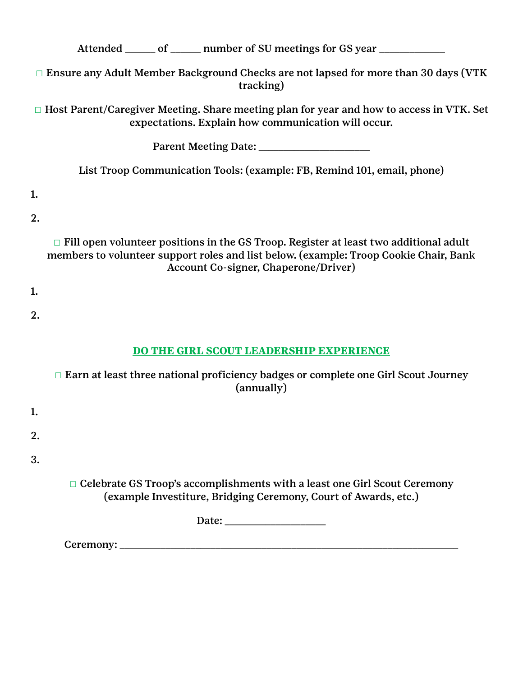Attended \_\_\_\_\_ of \_\_\_\_\_ number of SU meetings for GS year \_\_\_\_\_\_\_\_\_\_\_\_\_\_\_\_\_\_\_\_\_\_

□ Ensure any Adult Member Background Checks are not lapsed for more than 30 days (VTK tracking)

☐ Host Parent/Caregiver Meeting. Share meeting plan for year and how to access in VTK. Set expectations. Explain how communication will occur.

Parent Meeting Date: \_\_\_\_\_\_\_\_\_\_\_\_\_\_\_\_\_\_\_\_\_\_

List Troop Communication Tools: (example: FB, Remind 101, email, phone)

1.

2.

□ Fill open volunteer positions in the GS Troop. Register at least two additional adult members to volunteer support roles and list below. (example: Troop Cookie Chair, Bank Account Co-signer, Chaperone/Driver)

- 1.
- 2.
- 

# **DO THE GIRL SCOUT LEADERSHIP EXPERIENCE**

|    | $\Box$ Earn at least three national proficiency badges or complete one Girl Scout Journey<br>(annually)                                             |
|----|-----------------------------------------------------------------------------------------------------------------------------------------------------|
| 1. |                                                                                                                                                     |
| 2. |                                                                                                                                                     |
| 3. |                                                                                                                                                     |
|    | $\Box$ Celebrate GS Troop's accomplishments with a least one Girl Scout Ceremony<br>(example Investiture, Bridging Ceremony, Court of Awards, etc.) |
|    |                                                                                                                                                     |
|    | Ceremony:                                                                                                                                           |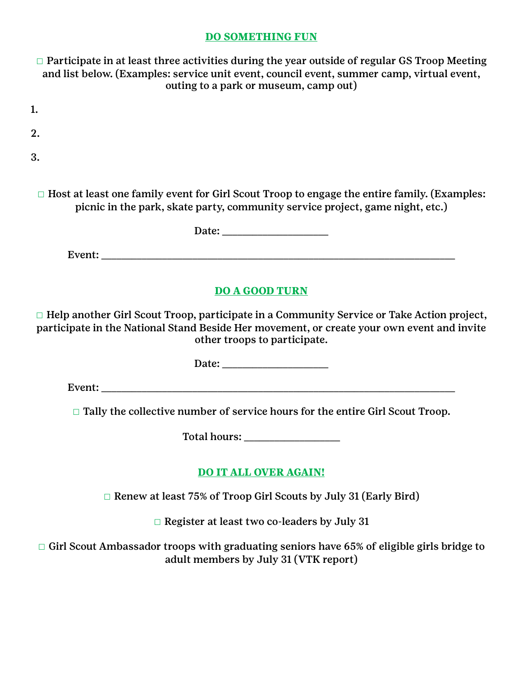#### **DO SOMETHING FUN**

□ Participate in at least three activities during the year outside of regular GS Troop Meeting and list below. (Examples: service unit event, council event, summer camp, virtual event, outing to a park or museum, camp out)

| $\sim$ |
|--------|
|        |

2.

3.

□ Host at least one family event for Girl Scout Troop to engage the entire family. (Examples: picnic in the park, skate party, community service project, game night, etc.)

Date:

Event:

#### **DO A GOOD TURN**

☐ Help another Girl Scout Troop, participate in a Community Service or Take Action project, participate in the National Stand Beside Her movement, or create your own event and invite other troops to participate.

Date: \_\_\_\_\_\_\_\_\_\_\_\_\_\_\_\_\_\_\_\_\_

Event: \_\_\_\_\_\_\_\_\_\_\_\_\_\_\_\_\_\_\_\_\_\_\_\_\_\_\_\_\_\_\_\_\_\_\_\_\_\_\_\_\_\_\_\_\_\_\_\_\_\_\_\_\_\_\_\_\_\_\_\_\_\_\_\_\_\_\_\_\_\_

□ Tally the collective number of service hours for the entire Girl Scout Troop.

Total hours: \_\_\_\_\_\_\_\_\_\_\_\_\_\_\_\_\_\_\_

# **DO IT ALL OVER AGAIN!**

☐ Renew at least 75% of Troop Girl Scouts by July 31 (Early Bird)

☐ Register at least two co-leaders by July 31

□ Girl Scout Ambassador troops with graduating seniors have 65% of eligible girls bridge to adult members by July 31 (VTK report)